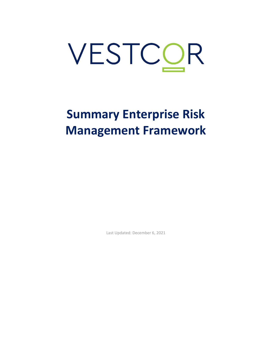# **Summary Enterprise Risk Management Framework**

Last Updated: December 6, 2021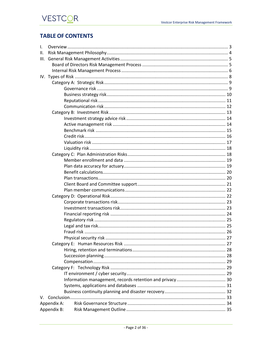## **TABLE OF CONTENTS**

| $\mathsf{L}$ |             |  |  |  |  |
|--------------|-------------|--|--|--|--|
| Ш.           |             |  |  |  |  |
| III.         |             |  |  |  |  |
|              |             |  |  |  |  |
|              |             |  |  |  |  |
|              |             |  |  |  |  |
|              |             |  |  |  |  |
|              |             |  |  |  |  |
|              |             |  |  |  |  |
|              |             |  |  |  |  |
|              |             |  |  |  |  |
|              |             |  |  |  |  |
|              |             |  |  |  |  |
|              |             |  |  |  |  |
|              |             |  |  |  |  |
|              |             |  |  |  |  |
|              |             |  |  |  |  |
|              |             |  |  |  |  |
|              |             |  |  |  |  |
|              |             |  |  |  |  |
|              |             |  |  |  |  |
|              |             |  |  |  |  |
|              |             |  |  |  |  |
|              |             |  |  |  |  |
|              |             |  |  |  |  |
|              |             |  |  |  |  |
|              |             |  |  |  |  |
|              |             |  |  |  |  |
|              |             |  |  |  |  |
|              |             |  |  |  |  |
|              |             |  |  |  |  |
|              |             |  |  |  |  |
|              |             |  |  |  |  |
|              |             |  |  |  |  |
|              |             |  |  |  |  |
|              |             |  |  |  |  |
|              |             |  |  |  |  |
|              |             |  |  |  |  |
|              |             |  |  |  |  |
|              |             |  |  |  |  |
|              |             |  |  |  |  |
|              |             |  |  |  |  |
| V.           |             |  |  |  |  |
|              | Appendix A: |  |  |  |  |
|              | Appendix B: |  |  |  |  |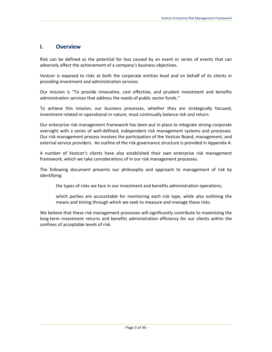## <span id="page-2-0"></span>**I. Overview**

Risk can be defined as the potential for loss caused by an event or series of events that can adversely affect the achievement of a company's business objectives.

Vestcor is exposed to risks at both the corporate entities level and on behalf of its clients in providing investment and administration services.

Our mission is "To provide innovative, cost effective, and prudent investment and benefits administration services that address the needs of public sector funds."

To achieve this mission, our business processes, whether they are strategically focused, investment related or operational in nature, must continually balance risk and return.

Our enterprise risk management framework has been put in place to integrate strong corporate oversight with a series of well-defined, independent risk management systems and processes. Our risk management process involves the participation of the Vestcor Board, management, and external service providers. An outline of the risk governance structure is provided in Appendix A.

A number of Vestcor's clients have also established their own enterprise risk management framework, which we take considerations of in our risk management processes.

The following document presents our philosophy and approach to management of risk by identifying:

- the types of risks we face in our investment and benefits administration operations;
- which parties are accountable for monitoring each risk type, while also outlining the means and timing through which we seek to measure and manage these risks.

We believe that these risk management processes will significantly contribute to maximizing the long-term investment returns and benefits administration efficiency for our clients within the confines of acceptable levels of risk.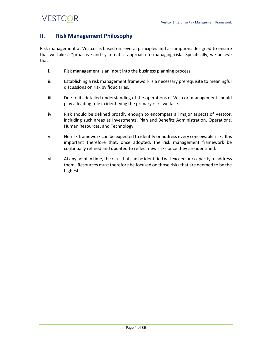## <span id="page-3-0"></span>**II. Risk Management Philosophy**

Risk management at Vestcor is based on several principles and assumptions designed to ensure that we take a "proactive and systematic" approach to managing risk. Specifically, we believe that:

- i. Risk management is an input into the business planning process.
- ii. Establishing a risk management framework is a necessary prerequisite to meaningful discussions on risk by fiduciaries.
- iii. Due to its detailed understanding of the operations of Vestcor, management should play a leading role in identifying the primary risks we face.
- iv. Risk should be defined broadly enough to encompass all major aspects of Vestcor, including such areas as Investments, Plan and Benefits Administration, Operations, Human Resources, and Technology.
- v. No risk framework can be expected to identify or address every conceivable risk. It is important therefore that, once adopted, the risk management framework be continually refined and updated to reflect new risks once they are identified.
- vi. At any point in time, the risks that can be identified will exceed our capacity to address them. Resources must therefore be focused on those risks that are deemed to be the highest.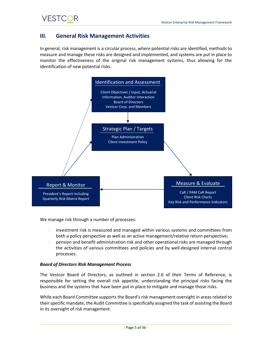## <span id="page-4-0"></span>**III. General Risk Management Activities**

In general, risk management is a circular process, where potential risks are identified, methods to measure and manage these risks are designed and implemented, and systems are put in place to monitor the effectiveness of the original risk management systems, thus allowing for the identification of new potential risks.



We manage risk through a number of processes:

- investment risk is measured and managed within various systems and committees from both a policy perspective as well as an active management/relative return perspective;
- pension and benefit administration risk and other operational risks are managed through the activities of various committees and policies and by well-designed internal control processes.

#### <span id="page-4-1"></span>*Board of Directors Risk Management Process*

The Vestcor Board of Directors, as outlined in section 2.6 of their Terms of Reference, is responsible for setting the overall risk appetite, understanding the principal risks facing the business and the systems that have been put in place to mitigate and manage those risks.

While each Board Committee supports the Board's risk management oversight in areas related to their specific mandate, the Audit Committee is specifically assigned the task of assisting the Board in its oversight of risk management.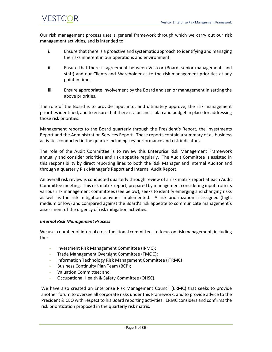Our risk management process uses a general framework through which we carry out our risk management activities, and is intended to:

- i. Ensure that there is a proactive and systematic approach to identifying and managing the risks inherent in our operations and environment.
- ii. Ensure that there is agreement between Vestcor (Board, senior management, and staff) and our Clients and Shareholder as to the risk management priorities at any point in time.
- iii. Ensure appropriate involvement by the Board and senior management in setting the above priorities.

The role of the Board is to provide input into, and ultimately approve, the risk management priorities identified, and to ensure that there is a business plan and budget in place for addressing those risk priorities.

Management reports to the Board quarterly through the President's Report, the Investments Report and the Administration Services Report. These reports contain a summary of all business activities conducted in the quarter including key performance and risk indicators.

The role of the Audit Committee is to review this Enterprise Risk Management Framework annually and consider priorities and risk appetite regularly. The Audit Committee is assisted in this responsibility by direct reporting lines to both the Risk Manager and Internal Auditor and through a quarterly Risk Manager's Report and Internal Audit Report.

An overall risk review is conducted quarterly through review of a risk matrix report at each Audit Committee meeting. This risk matrix report, prepared by management considering input from its various risk management committees (see below), seeks to identify emerging and changing risks as well as the risk mitigation activities implemented. A risk prioritization is assigned (high, medium or low) and compared against the Board's risk appetite to communicate management's assessment of the urgency of risk mitigation activities.

#### <span id="page-5-0"></span>*Internal Risk Management Process*

We use a number of internal cross-functional committees to focus on risk management, including the:

- Investment Risk Management Committee (IRMC);
- Trade Management Oversight Committee (TMOC);
- Information Technology Risk Management Committee (ITRMC);
- Business Continuity Plan Team (BCP);
- Valuation Committee; and
- Occupational Health & Safety Committee (OHSC).

We have also created an Enterprise Risk Management Council (ERMC) that seeks to provide another forum to oversee all corporate risks under this Framework, and to provide advice to the President & CEO with respect to his Board reporting activities. ERMC considers and confirms the risk prioritization proposed in the quarterly risk matrix.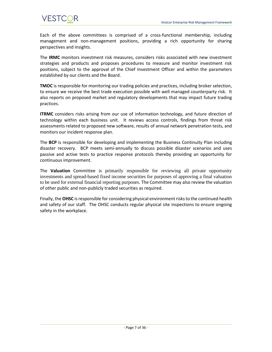Each of the above committees is comprised of a cross-functional membership, including management and non-management positions, providing a rich opportunity for sharing perspectives and insights.

The **IRMC** monitors investment risk measures, considers risks associated with new investment strategies and products and proposes procedures to measure and monitor investment risk positions, subject to the approval of the Chief Investment Officer and within the parameters established by our clients and the Board.

**TMOC** is responsible for monitoring our trading policies and practices, including broker selection, to ensure we receive the best trade execution possible with well managed counterparty risk. It also reports on proposed market and regulatory developments that may impact future trading practices.

**ITRMC** considers risks arising from our use of information technology, and future direction of technology within each business unit. It reviews access controls, findings from threat risk assessments related to proposed new software, results of annual network penetration tests, and monitors our incident response plan.

The **BCP** is responsible for developing and implementing the Business Continuity Plan including disaster recovery. BCP meets semi-annually to discuss possible disaster scenarios and uses passive and active tests to practice response protocols thereby providing an opportunity for continuous improvement.

The **Valuation** Committee is primarily responsible for reviewing all private opportunity investments and spread-based fixed income securities for purposes of approving a final valuation to be used for external financial reporting purposes. The Committee may also review the valuation of other public and non-publicly traded securities as required.

Finally, the **OHSC** is responsible for considering physical environment risks to the continued health and safety of our staff. The OHSC conducts regular physical site inspections to ensure ongoing safety in the workplace.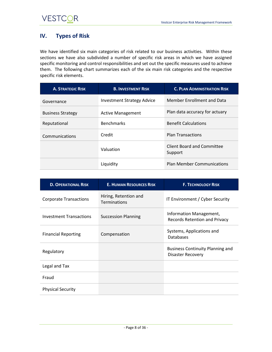## <span id="page-7-0"></span>**IV. Types of Risk**

We have identified six main categories of risk related to our business activities. Within these sections we have also subdivided a number of specific risk areas in which we have assigned specific monitoring and control responsibilities and set out the specific measures used to achieve them. The following chart summarizes each of the six main risk categories and the respective specific risk elements.

| <b>A. STRATEGIC RISK</b> | <b>B. INVESTMENT RISK</b>         | <b>C. PLAN ADMINISTRATION RISK</b>    |
|--------------------------|-----------------------------------|---------------------------------------|
| Governance               | <b>Investment Strategy Advice</b> | Member Enrollment and Data            |
| <b>Business Strategy</b> | <b>Active Management</b>          | Plan data accuracy for actuary        |
| Reputational             | <b>Benchmarks</b>                 | <b>Benefit Calculations</b>           |
| Communications           | Credit                            | <b>Plan Transactions</b>              |
|                          | Valuation                         | Client Board and Committee<br>Support |
|                          | Liquidity                         | <b>Plan Member Communications</b>     |

| <b>D. OPERATIONAL RISK</b>     | <b>E. HUMAN RESOURCES RISK</b>        | <b>F. TECHNOLOGY RISK</b>                                           |
|--------------------------------|---------------------------------------|---------------------------------------------------------------------|
| <b>Corporate Transactions</b>  | Hiring, Retention and<br>Terminations | IT Environment / Cyber Security                                     |
| <b>Investment Transactions</b> | <b>Succession Planning</b>            | Information Management,<br>Records Retention and Privacy            |
| <b>Financial Reporting</b>     | Compensation                          | Systems, Applications and<br><b>Databases</b>                       |
| Regulatory                     |                                       | <b>Business Continuity Planning and</b><br><b>Disaster Recovery</b> |
| Legal and Tax                  |                                       |                                                                     |
| Fraud                          |                                       |                                                                     |
| <b>Physical Security</b>       |                                       |                                                                     |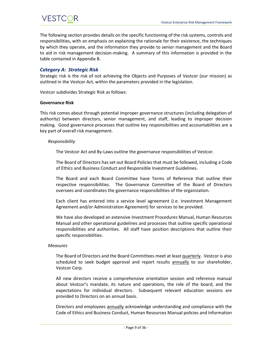The following section provides details on the specific functioning of the risk systems, controls and responsibilities, with an emphasis on explaining the rationale for their existence, the techniques by which they operate, and the information they provide to senior management and the Board to aid in risk management decision-making. A summary of this information is provided in the table contained in Appendix B.

#### <span id="page-8-0"></span>*Category A: Strategic Risk*

Strategic risk is the risk of not achieving the Objects and Purposes of Vestcor (our mission) as outlined in the Vestcor Act, within the parameters provided in the legislation.

Vestcor subdivides Strategic Risk as follows:

#### <span id="page-8-1"></span>**Governance Risk**

This risk comes about through potential improper governance structures (including delegation of authority) between directors, senior management, and staff, leading to improper decision making. Good governance processes that outline key responsibilities and accountabilities are a key part of overall risk management.

#### *Responsibility*

The Vestcor Act and By-Laws outline the governance responsibilities of Vestcor.

The Board of Directors has set out Board Policies that must be followed, including a Code of Ethics and Business Conduct and Responsible Investment Guidelines.

The Board and each Board Committee have Terms of Reference that outline their respective responsibilities. The Governance Committee of the Board of Directors oversees and coordinates the governance responsibilities of the organization.

Each client has entered into a service level agreement (i.e. Investment Management Agreement and/or Administration Agreement) for services to be provided.

We have also developed an extensive Investment Procedures Manual, Human Resources Manual and other operational guidelines and processes that outline specific operational responsibilities and authorities. All staff have position descriptions that outline their specific responsibilities.

#### *Measures*

The Board of Directors and the Board Committees meet at least quarterly. Vestcor is also scheduled to seek budget approval and report results **annually** to our shareholder, Vestcor Corp.

All new directors receive a comprehensive orientation session and reference manual about Vestcor's mandate, its nature and operations, the role of the board, and the expectations for individual directors. Subsequent relevant education sessions are provided to Directors on an annual basis.

Directors and employees annually acknowledge understanding and compliance with the Code of Ethics and Business Conduct, Human Resources Manual policies and Information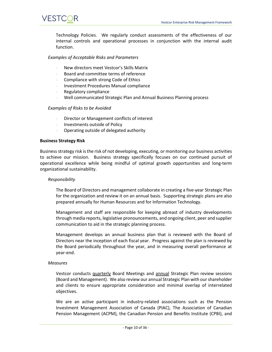Technology Policies. We regularly conduct assessments of the effectiveness of our internal controls and operational processes in conjunction with the internal audit function.

#### *Examples of Acceptable Risks and Parameters*

- New directors meet Vestcor's Skills Matrix
- Board and committee terms of reference
- Compliance with strong Code of Ethics
- Investment Procedures Manual compliance
- Regulatory compliance
- Well communicated Strategic Plan and Annual Business Planning process

#### *Examples of Risks to be Avoided*

- Director or Management conflicts of interest
- Investments outside of Policy
- Operating outside of delegated authority

#### <span id="page-9-0"></span>**Business Strategy Risk**

VESTCOR

Business strategy risk is the risk of not developing, executing, or monitoring our business activities to achieve our mission. Business strategy specifically focuses on our continued pursuit of operational excellence while being mindful of optimal growth opportunities and long-term organizational sustainability.

#### *Responsibility*

The Board of Directors and management collaborate in creating a five-year Strategic Plan for the organization and review it on an annual basis. Supporting strategic plans are also prepared annually for Human Resources and for Information Technology.

Management and staff are responsible for keeping abreast of industry developments through media reports, legislative pronouncements, and ongoing client, peer and supplier communication to aid in the strategic planning process.

Management develops an annual business plan that is reviewed with the Board of Directors near the inception of each fiscal year. Progress against the plan is reviewed by the Board periodically throughout the year, and in measuring overall performance at year-end.

#### *Measures*

Vestcor conducts quarterly Board Meetings and annual Strategic Plan review sessions (Board and Management). We also review our annual Strategic Plan with our shareholder and clients to ensure appropriate consideration and minimal overlap of interrelated objectives.

We are an active participant in industry-related associations such as the Pension Investment Management Association of Canada (PIAC), The Association of Canadian Pension Management (ACPM), the Canadian Pension and Benefits Institute (CPBI), and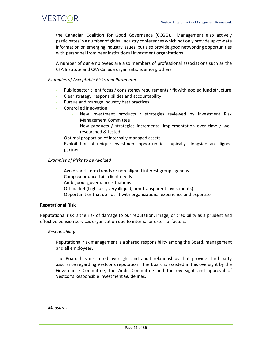the Canadian Coalition for Good Governance (CCGG). Management also actively participates in a number of global industry conferences which not only provide up-to-date information on emerging industry issues, but also provide good networking opportunities with personnel from peer institutional investment organizations.

A number of our employees are also members of professional associations such as the CFA Institute and CPA Canada organizations among others.

#### *Examples of Acceptable Risks and Parameters*

- Public sector client focus / consistency requirements / fit with pooled fund structure
- Clear strategy, responsibilities and accountability
- Pursue and manage industry best practices
- Controlled innovation
	- New investment products / strategies reviewed by Investment Risk Management Committee
	- New products / strategies incremental implementation over time / well researched & tested
- Optimal proportion of internally managed assets
- Exploitation of unique investment opportunities, typically alongside an aligned partner

#### *Examples of Risks to be Avoided*

- Avoid short-term trends or non-aligned interest group agendas
- Complex or uncertain client needs
- Ambiguous governance situations
- Off market (high cost, very illiquid, non-transparent investments)
- Opportunities that do not fit with organizational experience and expertise

#### <span id="page-10-0"></span>**Reputational Risk**

Reputational risk is the risk of damage to our reputation, image, or credibility as a prudent and effective pension services organization due to internal or external factors.

#### *Responsibility*

Reputational risk management is a shared responsibility among the Board, management and all employees.

The Board has instituted oversight and audit relationships that provide third party assurance regarding Vestcor's reputation. The Board is assisted in this oversight by the Governance Committee, the Audit Committee and the oversight and approval of Vestcor's Responsible Investment Guidelines.

*Measures*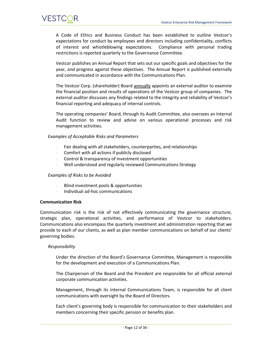A Code of Ethics and Business Conduct has been established to outline Vestcor's expectations for conduct by employees and directors including confidentiality, conflicts of interest and whistleblowing expectations. Compliance with personal trading restrictions is reported quarterly to the Governance Committee.

Vestcor publishes an Annual Report that sets out our specific goals and objectives for the year, and progress against these objectives. The Annual Report is published externally and communicated in accordance with the Communications Plan.

The Vestcor Corp. (shareholder) Board annually appoints an external auditor to examine the financial position and results of operations of the Vestcor group of companies. The external auditor discusses any findings related to the integrity and reliability of Vestcor's financial reporting and adequacy of internal controls.

The operating companies' Board, through its Audit Committee, also oversees an Internal Audit function to review and advise on various operational processes and risk management activities.

#### *Examples of Acceptable Risks and Parameters*

- Fair dealing with all stakeholders, counterparties, and relationships
- Comfort with all actions if publicly disclosed
- Control & transparency of investment opportunities
- Well understood and regularly reviewed Communications Strategy

#### *Examples of Risks to be Avoided*

- Blind investment pools & opportunities
- Individual ad-hoc communications

#### <span id="page-11-0"></span>**Communication Risk**

Communication risk is the risk of not effectively communicating the governance structure, strategic plan, operational activities, and performance of Vestcor to stakeholders. Communications also encompass the quarterly investment and administration reporting that we provide to each of our clients, as well as plan member communications on behalf of our clients' governing bodies.

#### *Responsibility*

Under the direction of the Board's Governance Committee, Management is responsible for the development and execution of a Communications Plan.

The Chairperson of the Board and the President are responsible for all official external corporate communication activities.

Management, through its internal Communications Team, is responsible for all client communications with oversight by the Board of Directors.

Each client's governing body is responsible for communication to their stakeholders and members concerning their specific pension or benefits plan.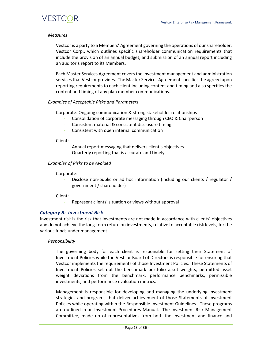#### *Measures*

Vestcor is a party to a Members' Agreement governing the operations of our shareholder, Vestcor Corp., which outlines specific shareholder communication requirements that include the provision of an annual budget, and submission of an annual report including an auditor's report to its Members.

Each Master Services Agreement covers the investment management and administration services that Vestcor provides. The Master Services Agreement specifies the agreed upon reporting requirements to each client including content and timing and also specifies the content and timing of any plan member communications.

#### *Examples of Acceptable Risks and Parameters*

Corporate: Ongoing communication & strong stakeholder relationships

- Consolidation of corporate messaging through CEO & Chairperson
- Consistent material & consistent disclosure timing
- Consistent with open internal communication

#### Client:

- Annual report messaging that delivers client's objectives
- Quarterly reporting that is accurate and timely

#### *Examples of Risks to be Avoided*

#### Corporate:

Disclose non-public or ad hoc information (including our clients / regulator / government / shareholder)

#### Client:

Represent clients' situation or views without approval

#### <span id="page-12-0"></span>*Category B: Investment Risk*

Investment risk is the risk that investments are not made in accordance with clients' objectives and do not achieve the long-term return on investments, relative to acceptable risk levels, for the various funds under management.

#### *Responsibility*

The governing body for each client is responsible for setting their Statement of Investment Policies while the Vestcor Board of Directors is responsible for ensuring that Vestcor implements the requirements of those Investment Policies. These Statements of Investment Policies set out the benchmark portfolio asset weights, permitted asset weight deviations from the benchmark, performance benchmarks, permissible investments, and performance evaluation metrics.

Management is responsible for developing and managing the underlying investment strategies and programs that deliver achievement of those Statements of Investment Policies while operating within the Responsible Investment Guidelines. These programs are outlined in an Investment Procedures Manual. The Investment Risk Management Committee, made up of representatives from both the investment and finance and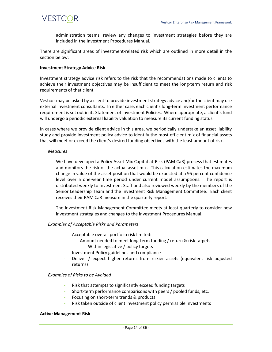

administration teams, review any changes to investment strategies before they are included in the Investment Procedures Manual.

There are significant areas of investment-related risk which are outlined in more detail in the section below:

#### <span id="page-13-0"></span>**Investment Strategy Advice Risk**

Investment strategy advice risk refers to the risk that the recommendations made to clients to achieve their investment objectives may be insufficient to meet the long-term return and risk requirements of that client.

Vestcor may be asked by a client to provide investment strategy advice and/or the client may use external investment consultants. In either case, each client's long-term investment performance requirement is set out in its Statement of Investment Policies. Where appropriate, a client's fund will undergo a periodic external liability valuation to measure its current funding status.

In cases where we provide client advice in this area, we periodically undertake an asset liability study and provide investment policy advice to identify the most efficient mix of financial assets that will meet or exceed the client's desired funding objectives with the least amount of risk.

#### *Measures*

We have developed a Policy Asset Mix Capital-at-Risk (PAM CaR) process that estimates and monitors the risk of the actual asset mix. This calculation estimates the maximum change in value of the asset position that would be expected at a 95 percent confidence level over a one-year time period under current model assumptions. The report is distributed weekly to Investment Staff and also reviewed weekly by the members of the Senior Leadership Team and the Investment Risk Management Committee. Each client receives their PAM CaR measure in the quarterly report.

The Investment Risk Management Committee meets at least quarterly to consider new investment strategies and changes to the Investment Procedures Manual.

#### *Examples of Acceptable Risks and Parameters*

- Acceptable overall portfolio risk limited:
	- Amount needed to meet long-term funding / return & risk targets
	- Within legislative / policy targets
- Investment Policy guidelines and compliance
- Deliver / expect higher returns from riskier assets (equivalent risk adjusted returns)

#### *Examples of Risks to be Avoided*

- Risk that attempts to significantly exceed funding targets
- Short-term performance comparisons with peers / pooled funds, etc.
- Focusing on short-term trends & products
- Risk taken outside of client investment policy permissible investments

#### <span id="page-13-1"></span>**Active Management Risk**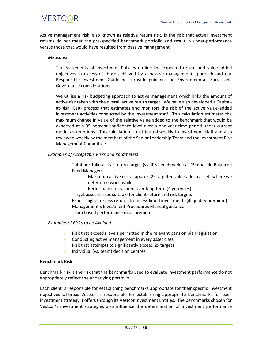Active management risk, also known as relative return risk, is the risk that actual investment returns do not meet the pre-specified benchmark portfolio and result in under-performance versus those that would have resulted from passive management.

#### *Measures*

The Statements of Investment Policies outline the expected return and value-added objectives in excess of those achieved by a passive management approach and our Responsible Investment Guidelines provide guidance on Environmental, Social and Governance considerations.

We utilize a risk budgeting approach to active management which links the amount of active risk taken with the overall active return target. We have also developed a Capitalat-Risk (CaR) process that estimates and monitors the risk of the active value-added investment activities conducted by the investment staff. This calculation estimates the maximum change in value of the relative value added to the benchmark that would be expected at a 95 percent confidence level over a one-year time period under current model assumptions. This calculation is distributed weekly to Investment Staff and also reviewed weekly by the members of the Senior Leadership Team and the Investment Risk Management Committee.

#### *Examples of Acceptable Risks and Parameters*

- Total portfolio active return target (vs. IPS benchmarks) as  $1<sup>st</sup>$  quartile Balanced Fund Manager:
	- Maximum active risk of approx. 2x targeted value add in assets where we determine worthwhile
	- Performance measured over long-term (4 yr. cycles)
	- Target asset classes suitable for client return and risk targets
- Expect higher excess returns from less liquid investments (illiquidity premium)
- Management's Investment Procedures Manual guidance
- Team based performance measurement

#### *Examples of Risks to be Avoided*

- Risk that exceeds levels permitted in the relevant pension plan legislation
- Conducting active management in every asset class
- Risk that attempts to significantly exceed 2x targets
- Individual (vs. team) decision centres

#### <span id="page-14-0"></span>**Benchmark Risk**

Benchmark risk is the risk that the benchmarks used to evaluate investment performance do not appropriately reflect the underlying portfolio.

Each client is responsible for establishing benchmarks appropriate for their specific investment objectives whereas Vestcor is responsible for establishing appropriate benchmarks for each investment strategy it offers through its Vestcor Investment Entities. The benchmarks chosen for Vestcor's investment strategies also influence the determination of investment performance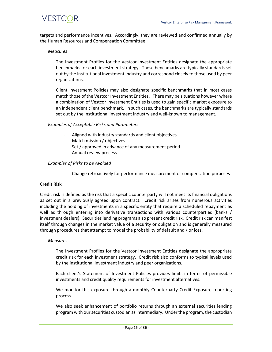targets and performance incentives. Accordingly, they are reviewed and confirmed annually by the Human Resources and Compensation Committee.

#### *Measures*

The Investment Profiles for the Vestcor Investment Entities designate the appropriate benchmarks for each investment strategy. These benchmarks are typically standards set out by the institutional investment industry and correspond closely to those used by peer organizations.

Client Investment Policies may also designate specific benchmarks that in most cases match those of the Vestcor Investment Entities. There may be situations however where a combination of Vestcor Investment Entities is used to gain specific market exposure to an independent client benchmark. In such cases, the benchmarks are typically standards set out by the institutional investment industry and well-known to management.

#### *Examples of Acceptable Risks and Parameters*

- Aligned with industry standards and client objectives
- Match mission / objectives
- Set / approved in advance of any measurement period
- Annual review process

#### *Examples of Risks to be Avoided*

Change retroactively for performance measurement or compensation purposes

#### <span id="page-15-0"></span>**Credit Risk**

Credit risk is defined as the risk that a specific counterparty will not meet its financial obligations as set out in a previously agreed upon contract. Credit risk arises from numerous activities including the holding of investments in a specific entity that require a scheduled repayment as well as through entering into derivative transactions with various counterparties (banks / investment dealers). Securities lending programs also present credit risk. Credit risk can manifest itself through changes in the market value of a security or obligation and is generally measured through procedures that attempt to model the probability of default and / or loss.

#### *Measures*

The Investment Profiles for the Vestcor Investment Entities designate the appropriate credit risk for each investment strategy. Credit risk also conforms to typical levels used by the institutional investment industry and peer organizations.

Each client's Statement of Investment Policies provides limits in terms of permissible investments and credit quality requirements for investment alternatives.

We monitor this exposure through a monthly Counterparty Credit Exposure reporting process.

We also seek enhancement of portfolio returns through an external securities lending program with our securities custodian as intermediary. Under the program, the custodian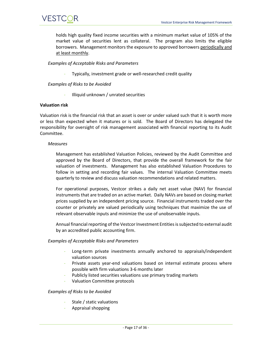

holds high quality fixed income securities with a minimum market value of 105% of the market value of securities lent as collateral. The program also limits the eligible borrowers. Management monitors the exposure to approved borrowers periodically and at least monthly.

#### *Examples of Acceptable Risks and Parameters*

Typically, investment grade or well-researched credit quality

#### *Examples of Risks to be Avoided*

- Illiquid unknown / unrated securities

#### <span id="page-16-0"></span>**Valuation risk**

Valuation risk is the financial risk that an asset is over or under valued such that it is worth more or less than expected when it matures or is sold. The Board of Directors has delegated the responsibility for oversight of risk management associated with financial reporting to its Audit Committee.

#### *Measures*

Management has established Valuation Policies, reviewed by the Audit Committee and approved by the Board of Directors, that provide the overall framework for the fair valuation of investments. Management has also established Valuation Procedures to follow in setting and recording fair values. The internal Valuation Committee meets quarterly to review and discuss valuation recommendations and related matters.

For operational purposes, Vestcor strikes a daily net asset value (NAV) for financial instruments that are traded on an active market. Daily NAVs are based on closing market prices supplied by an independent pricing source. Financial instruments traded over the counter or privately are valued periodically using techniques that maximize the use of relevant observable inputs and minimize the use of unobservable inputs.

Annual financial reporting of the Vestcor Investment Entities is subjected to external audit by an accredited public accounting firm.

#### *Examples of Acceptable Risks and Parameters*

- Long-term private investments annually anchored to appraisals/independent valuation sources
- Private assets year-end valuations based on internal estimate process where possible with firm valuations 3-6 months later
- Publicly listed securities valuations use primary trading markets
- Valuation Committee protocols

#### *Examples of Risks to be Avoided*

- Stale / static valuations
- Appraisal shopping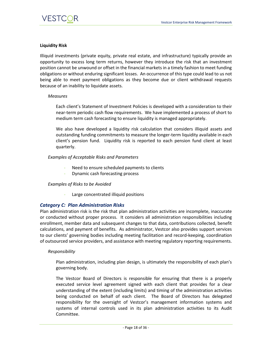

#### <span id="page-17-0"></span>**Liquidity Risk**

Illiquid investments (private equity, private real estate, and infrastructure) typically provide an opportunity to excess long term returns, however they introduce the risk that an investment position cannot be unwound or offset in the financial markets in a timely fashion to meet funding obligations or without enduring significant losses. An occurrence of this type could lead to us not being able to meet payment obligations as they become due or client withdrawal requests because of an inability to liquidate assets.

#### *Measures*

Each client's Statement of Investment Policies is developed with a consideration to their near-term periodic cash flow requirements. We have implemented a process of short to medium term cash forecasting to ensure liquidity is managed appropriately.

We also have developed a liquidity risk calculation that considers illiquid assets and outstanding funding commitments to measure the longer-term liquidity available in each client's pension fund. Liquidity risk is reported to each pension fund client at least quarterly.

#### *Examples of Acceptable Risks and Parameters*

- Need to ensure scheduled payments to clients
- Dynamic cash forecasting process

#### *Examples of Risks to be Avoided*

Large concentrated illiquid positions

#### <span id="page-17-1"></span>*Category C: Plan Administration Risks*

Plan administration risk is the risk that plan administration activities are incomplete, inaccurate or conducted without proper process. It considers all administration responsibilities including enrollment, member data and subsequent changes to that data, contributions collected, benefit calculations, and payment of benefits. As administrator, Vestcor also provides support services to our clients' governing bodies including meeting facilitation and record-keeping, coordination of outsourced service providers, and assistance with meeting regulatory reporting requirements.

#### *Responsibility*

Plan administration, including plan design, is ultimately the responsibility of each plan's governing body.

The Vestcor Board of Directors is responsible for ensuring that there is a properly executed service level agreement signed with each client that provides for a clear understanding of the extent (including limits) and timing of the administration activities being conducted on behalf of each client. The Board of Directors has delegated responsibility for the oversight of Vestcor's management information systems and systems of internal controls used in its plan administration activities to its Audit Committee.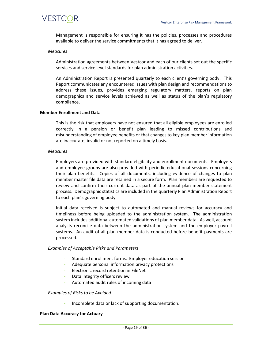Management is responsible for ensuring it has the policies, processes and procedures available to deliver the service commitments that it has agreed to deliver.

#### *Measures*

Administration agreements between Vestcor and each of our clients set out the specific services and service level standards for plan administration activities.

An Administration Report is presented quarterly to each client's governing body. This Report communicates any encountered issues with plan design and recommendations to address these issues, provides emerging regulatory matters, reports on plan demographics and service levels achieved as well as status of the plan's regulatory compliance.

#### <span id="page-18-0"></span>**Member Enrollment and Data**

This is the risk that employers have not ensured that all eligible employees are enrolled correctly in a pension or benefit plan leading to missed contributions and misunderstanding of employee benefits or that changes to key plan member information are inaccurate, invalid or not reported on a timely basis.

#### *Measures*

Employers are provided with standard eligibility and enrollment documents. Employers and employee groups are also provided with periodic educational sessions concerning their plan benefits. Copies of all documents, including evidence of changes to plan member master file data are retained in a secure form. Plan members are requested to review and confirm their current data as part of the annual plan member statement process. Demographic statistics are included in the quarterly Plan Administration Report to each plan's governing body.

Initial data received is subject to automated and manual reviews for accuracy and timeliness before being uploaded to the administration system. The administration system includes additional automated validations of plan member data. As well, account analysts reconcile data between the administration system and the employer payroll systems. An audit of all plan member data is conducted before benefit payments are processed.

#### *Examples of Acceptable Risks and Parameters*

- Standard enrollment forms. Employer education session
- Adequate personal information privacy protections
- Electronic record retention in FileNet
- Data integrity officers review
- Automated audit rules of incoming data

#### *Examples of Risks to be Avoided*

- Incomplete data or lack of supporting documentation.

#### <span id="page-18-1"></span>**Plan Data Accuracy for Actuary**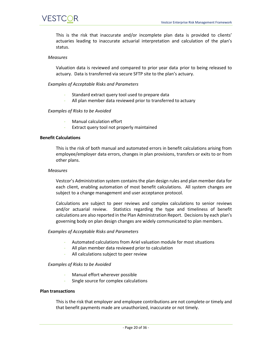

This is the risk that inaccurate and/or incomplete plan data is provided to clients' actuaries leading to inaccurate actuarial interpretation and calculation of the plan's status.

#### *Measures*

Valuation data is reviewed and compared to prior year data prior to being released to actuary. Data is transferred via secure SFTP site to the plan's actuary.

*Examples of Acceptable Risks and Parameters*

- Standard extract query tool used to prepare data
- All plan member data reviewed prior to transferred to actuary

#### *Examples of Risks to be Avoided*

- Manual calculation effort
- Extract query tool not properly maintained

#### <span id="page-19-0"></span>**Benefit Calculations**

This is the risk of both manual and automated errors in benefit calculations arising from employee/employer data errors, changes in plan provisions, transfers or exits to or from other plans.

#### *Measures*

Vestcor's Administration system contains the plan design rules and plan member data for each client, enabling automation of most benefit calculations. All system changes are subject to a change management and user acceptance protocol.

Calculations are subject to peer reviews and complex calculations to senior reviews and/or actuarial review. Statistics regarding the type and timeliness of benefit calculations are also reported in the Plan Administration Report. Decisions by each plan's governing body on plan design changes are widely communicated to plan members.

#### *Examples of Acceptable Risks and Parameters*

- Automated calculations from Ariel valuation module for most situations
- All plan member data reviewed prior to calculation
- All calculations subject to peer review

#### *Examples of Risks to be Avoided*

- Manual effort wherever possible
- Single source for complex calculations

#### <span id="page-19-1"></span>**Plan transactions**

This is the risk that employer and employee contributions are not complete or timely and that benefit payments made are unauthorized, inaccurate or not timely.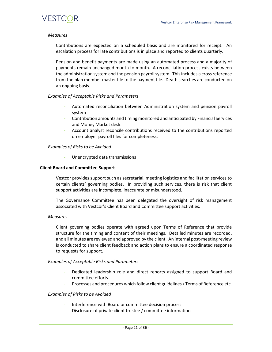#### *Measures*

Contributions are expected on a scheduled basis and are monitored for receipt. An escalation process for late contributions is in place and reported to clients quarterly.

Pension and benefit payments are made using an automated process and a majority of payments remain unchanged month to month. A reconciliation process exists between the administration system and the pension payroll system. This includes a cross reference from the plan member master file to the payment file. Death searches are conducted on an ongoing basis.

#### *Examples of Acceptable Risks and Parameters*

- Automated reconciliation between Administration system and pension payroll system
- Contribution amounts and timing monitored and anticipated by Financial Services and Money Market desk.
- Account analyst reconcile contributions received to the contributions reported on employer payroll files for completeness.

#### *Examples of Risks to be Avoided*

Unencrypted data transmissions

#### <span id="page-20-0"></span>**Client Board and Committee Support**

Vestcor provides support such as secretarial, meeting logistics and facilitation services to certain clients' governing bodies. In providing such services, there is risk that client support activities are incomplete, inaccurate or misunderstood.

The Governance Committee has been delegated the oversight of risk management associated with Vestcor's Client Board and Committee support activities.

#### *Measures*

Client governing bodies operate with agreed upon Terms of Reference that provide structure for the timing and content of their meetings. Detailed minutes are recorded, and all minutes are reviewed and approved by the client. An internal post-meeting review is conducted to share client feedback and action plans to ensure a coordinated response to requests for support.

#### *Examples of Acceptable Risks and Parameters*

- Dedicated leadership role and direct reports assigned to support Board and committee efforts.
- Processes and procedures which follow client guidelines / Terms of Reference etc.

#### *Examples of Risks to be Avoided*

- Interference with Board or committee decision process
- Disclosure of private client trustee / committee information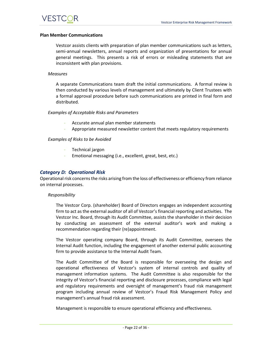#### <span id="page-21-0"></span>**Plan Member Communications**

Vestcor assists clients with preparation of plan member communications such as letters, semi-annual newsletters, annual reports and organization of presentations for annual general meetings. This presents a risk of errors or misleading statements that are inconsistent with plan provisions.

#### *Measures*

A separate Communications team draft the initial communications. A formal review is then conducted by various levels of management and ultimately by Client Trustees with a formal approval procedure before such communications are printed in final form and distributed.

#### *Examples of Acceptable Risks and Parameters*

- Accurate annual plan member statements
- Appropriate measured newsletter content that meets regulatory requirements

#### *Examples of Risks to be Avoided*

- Technical jargon
- Emotional messaging (i.e., excellent, great, best, etc.)

#### <span id="page-21-1"></span>*Category D: Operational Risk*

Operational risk concerns the risks arising from the loss of effectiveness or efficiency from reliance on internal processes.

#### *Responsibility*

The Vestcor Corp. (shareholder) Board of Directors engages an independent accounting firm to act as the external auditor of all of Vestcor's financial reporting and activities. The Vestcor Inc. Board, through its Audit Committee, assists the shareholder in their decision by conducting an assessment of the external auditor's work and making a recommendation regarding their (re)appointment.

The Vestcor operating company Board, through its Audit Committee, oversees the Internal Audit function, including the engagement of another external public accounting firm to provide assistance to the Internal Audit Team.

The Audit Committee of the Board is responsible for overseeing the design and operational effectiveness of Vestcor's system of internal controls and quality of management information systems. The Audit Committee is also responsible for the integrity of Vestcor's financial reporting and disclosure processes, compliance with legal and regulatory requirements and oversight of management's fraud risk management program including annual review of Vestcor's Fraud Risk Management Policy and management's annual fraud risk assessment.

Management is responsible to ensure operational efficiency and effectiveness.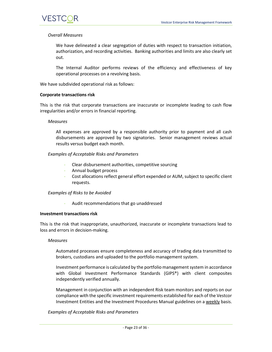#### *Overall Measures*

We have delineated a clear segregation of duties with respect to transaction initiation, authorization, and recording activities. Banking authorities and limits are also clearly set out.

The Internal Auditor performs reviews of the efficiency and effectiveness of key operational processes on a revolving basis.

We have subdivided operational risk as follows:

#### <span id="page-22-0"></span>**Corporate transactions risk**

This is the risk that corporate transactions are inaccurate or incomplete leading to cash flow irregularities and/or errors in financial reporting.

#### *Measures*

All expenses are approved by a responsible authority prior to payment and all cash disbursements are approved by two signatories. Senior management reviews actual results versus budget each month.

#### *Examples of Acceptable Risks and Parameters*

- Clear disbursement authorities, competitive sourcing
- Annual budget process
- Cost allocations reflect general effort expended or AUM, subject to specific client requests.

#### *Examples of Risks to be Avoided*

Audit recommendations that go unaddressed

#### <span id="page-22-1"></span>**Investment transactions risk**

This is the risk that inappropriate, unauthorized, inaccurate or incomplete transactions lead to loss and errors in decision-making.

#### *Measures*

Automated processes ensure completeness and accuracy of trading data transmitted to brokers, custodians and uploaded to the portfolio management system.

Investment performance is calculated by the portfolio management system in accordance with Global Investment Performance Standards (GIPS®) with client composites independently verified annually.

Management in conjunction with an independent Risk team monitors and reports on our compliance with the specific investment requirements established for each of the Vestcor Investment Entities and the Investment Procedures Manual guidelines on a weekly basis.

#### *Examples of Acceptable Risks and Parameters*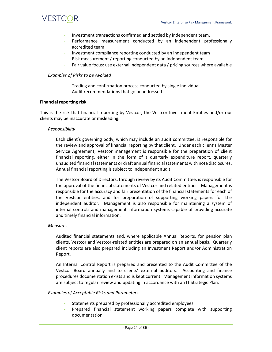

- Investment transactions confirmed and settled by independent team.
- Performance measurement conducted by an independent professionally accredited team
- Investment compliance reporting conducted by an independent team
- Risk measurement / reporting conducted by an independent team
- Fair value focus: use external independent data / pricing sources where available

#### *Examples of Risks to be Avoided*

- Trading and confirmation process conducted by single individual
- Audit recommendations that go unaddressed

#### <span id="page-23-0"></span>**Financial reporting risk**

This is the risk that financial reporting by Vestcor, the Vestcor Investment Entities and/or our clients may be inaccurate or misleading.

#### *Responsibility*

Each client's governing body, which may include an audit committee, is responsible for the review and approval of financial reporting by that client. Under each client's Master Service Agreement, Vestcor management is responsible for the preparation of client financial reporting, either in the form of a quarterly expenditure report, quarterly unaudited financial statements or draft annual financial statements with note disclosures. Annual financial reporting is subject to independent audit.

The Vestcor Board of Directors, through review by its Audit Committee, is responsible for the approval of the financial statements of Vestcor and related entities. Management is responsible for the accuracy and fair presentation of the financial statements for each of the Vestcor entities, and for preparation of supporting working papers for the independent auditor. Management is also responsible for maintaining a system of internal controls and management information systems capable of providing accurate and timely financial information.

#### *Measures*

Audited financial statements and, where applicable Annual Reports, for pension plan clients, Vestcor and Vestcor-related entities are prepared on an annual basis. Quarterly client reports are also prepared including an Investment Report and/or Administration Report.

An Internal Control Report is prepared and presented to the Audit Committee of the Vestcor Board annually and to clients' external auditors. Accounting and finance procedures documentation exists and is kept current. Management information systems are subject to regular review and updating in accordance with an IT Strategic Plan.

#### *Examples of Acceptable Risks and Parameters*

- Statements prepared by professionally accredited employees
- Prepared financial statement working papers complete with supporting documentation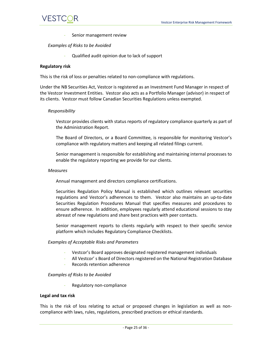Senior management review

#### *Examples of Risks to be Avoided*

- Qualified audit opinion due to lack of support

#### <span id="page-24-0"></span>**Regulatory risk**

This is the risk of loss or penalties related to non-compliance with regulations.

Under the NB Securities Act, Vestcor is registered as an Investment Fund Manager in respect of the Vestcor Investment Entities. Vestcor also acts as a Portfolio Manager (advisor) in respect of its clients. Vestcor must follow Canadian Securities Regulations unless exempted.

#### *Responsibility*

Vestcor provides clients with status reports of regulatory compliance quarterly as part of the Administration Report.

The Board of Directors, or a Board Committee, is responsible for monitoring Vestcor's compliance with regulatory matters and keeping all related filings current.

Senior management is responsible for establishing and maintaining internal processes to enable the regulatory reporting we provide for our clients.

#### *Measures*

Annual management and directors compliance certifications.

Securities Regulation Policy Manual is established which outlines relevant securities regulations and Vestcor's adherences to them. Vestcor also maintains an up-to-date Securities Regulation Procedures Manual that specifies measures and procedures to ensure adherence. In addition, employees regularly attend educational sessions to stay abreast of new regulations and share best practices with peer contacts.

Senior management reports to clients regularly with respect to their specific service platform which includes Regulatory Compliance Checklists.

#### *Examples of Acceptable Risks and Parameters*

- Vestcor's Board approves designated registered management individuals
- All Vestcor' s Board of Directors registered on the National Registration Database
- Records retention adherence

#### *Examples of Risks to be Avoided*

Regulatory non-compliance

#### <span id="page-24-1"></span>**Legal and tax risk**

This is the risk of loss relating to actual or proposed changes in legislation as well as noncompliance with laws, rules, regulations, prescribed practices or ethical standards.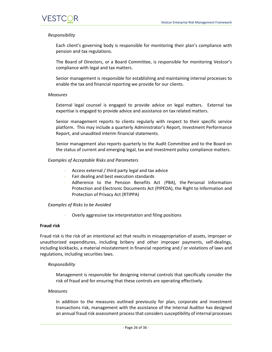#### *Responsibility*

Each client's governing body is responsible for monitoring their plan's compliance with pension and tax regulations.

The Board of Directors, or a Board Committee, is responsible for monitoring Vestcor's compliance with legal and tax matters.

Senior management is responsible for establishing and maintaining internal processes to enable the tax and financial reporting we provide for our clients.

#### *Measures*

External legal counsel is engaged to provide advice on legal matters. External tax expertise is engaged to provide advice and assistance on tax related matters.

Senior management reports to clients regularly with respect to their specific service platform. This may include a quarterly Administrator's Report, Investment Performance Report, and unaudited interim financial statements.

Senior management also reports quarterly to the Audit Committee and to the Board on the status of current and emerging legal, tax and investment policy compliance matters.

#### *Examples of Acceptable Risks and Parameters*

- Access external / third party legal and tax advice
- Fair dealing and best execution standards
- Adherence to the Pension Benefits Act (PBA), the Personal Information Protection and Electronic Documents Act (PIPEDA), the Right to Information and Protection of Privacy Act (RTIPPA)

#### *Examples of Risks to be Avoided*

Overly aggressive tax interpretation and filing positions

#### <span id="page-25-0"></span>**Fraud risk**

Fraud risk is the risk of an intentional act that results in misappropriation of assets, improper or unauthorized expenditures, including bribery and other improper payments, self-dealings, including kickbacks, a material misstatement in financial reporting and / or violations of laws and regulations, including securities laws.

#### *Responsibility*

Management is responsible for designing internal controls that specifically consider the risk of fraud and for ensuring that these controls are operating effectively.

#### *Measures*

In addition to the measures outlined previously for plan, corporate and investment transactions risk, management with the assistance of the Internal Auditor has designed an annual fraud risk assessment process that considers susceptibility of internal processes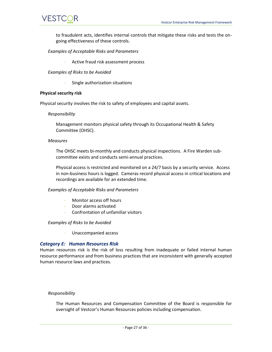to fraudulent acts, identifies internal controls that mitigate these risks and tests the ongoing effectiveness of these controls.

#### *Examples of Acceptable Risks and Parameters*

Active fraud risk assessment process

*Examples of Risks to be Avoided*

Single authorization situations

#### <span id="page-26-0"></span>**Physical security risk**

Physical security involves the risk to safety of employees and capital assets.

#### *Responsibility*

Management monitors physical safety through its Occupational Health & Safety Committee (OHSC).

#### *Measures*

The OHSC meets bi-monthly and conducts physical inspections. A Fire Warden subcommittee exists and conducts semi-annual practices.

Physical access is restricted and monitored on a 24/7 basis by a security service. Access in non-business hours is logged. Cameras record physical access in critical locations and recordings are available for an extended time.

#### *Examples of Acceptable Risks and Parameters*

- Monitor access off hours
- Door alarms activated
- Confrontation of unfamiliar visitors

#### *Examples of Risks to be Avoided*

- Unaccompanied access

#### <span id="page-26-1"></span>*Category E: Human Resources Risk*

Human resources risk is the risk of loss resulting from inadequate or failed internal human resource performance and from business practices that are inconsistent with generally accepted human resource laws and practices.

#### *Responsibility*

The Human Resources and Compensation Committee of the Board is responsible for oversight of Vestcor's Human Resources policies including compensation.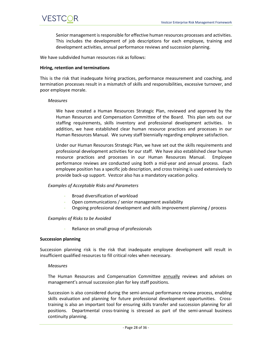

Senior management is responsible for effective human resources processes and activities. This includes the development of job descriptions for each employee, training and development activities, annual performance reviews and succession planning.

We have subdivided human resources risk as follows:

#### <span id="page-27-0"></span>**Hiring, retention and terminations**

This is the risk that inadequate hiring practices, performance measurement and coaching, and termination processes result in a mismatch of skills and responsibilities, excessive turnover, and poor employee morale.

#### *Measures*

We have created a Human Resources Strategic Plan, reviewed and approved by the Human Resources and Compensation Committee of the Board. This plan sets out our staffing requirements, skills inventory and professional development activities. In addition, we have established clear human resource practices and processes in our Human Resources Manual. We survey staff biennially regarding employee satisfaction.

Under our Human Resources Strategic Plan, we have set out the skills requirements and professional development activities for our staff. We have also established clear human resource practices and processes in our Human Resources Manual. Employee performance reviews are conducted using both a mid-year and annual process. Each employee position has a specific job description, and cross training is used extensively to provide back-up support. Vestcor also has a mandatory vacation policy.

#### *Examples of Acceptable Risks and Parameters*

- Broad diversification of workload
- Open communications / senior management availability
- Ongoing professional development and skills improvement planning / process

#### *Examples of Risks to be Avoided*

Reliance on small group of professionals

#### <span id="page-27-1"></span>**Succession planning**

Succession planning risk is the risk that inadequate employee development will result in insufficient qualified resources to fill critical roles when necessary.

#### *Measures*

The Human Resources and Compensation Committee annually reviews and advises on management's annual succession plan for key staff positions.

Succession is also considered during the semi-annual performance review process, enabling skills evaluation and planning for future professional development opportunities. Crosstraining is also an important tool for ensuring skills transfer and succession planning for all positions. Departmental cross-training is stressed as part of the semi-annual business continuity planning.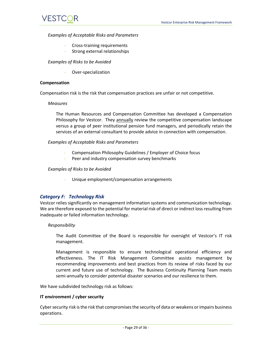#### *Examples of Acceptable Risks and Parameters*

- Cross-training requirements
- Strong external relationships

*Examples of Risks to be Avoided*

- Over-specialization

#### <span id="page-28-0"></span>**Compensation**

Compensation risk is the risk that compensation practices are unfair or not competitive.

#### *Measures*

The Human Resources and Compensation Committee has developed a Compensation Philosophy for Vestcor. They annually review the competitive compensation landscape versus a group of peer institutional pension fund managers, and periodically retain the services of an external consultant to provide advice in connection with compensation.

*Examples of Acceptable Risks and Parameters*

- Compensation Philosophy Guidelines / Employer of Choice focus
- Peer and industry compensation survey benchmarks

#### *Examples of Risks to be Avoided*

- Unique employment/compensation arrangements

#### <span id="page-28-1"></span>*Category F: Technology Risk*

Vestcor relies significantly on management information systems and communication technology. We are therefore exposed to the potential for material risk of direct or indirect loss resulting from inadequate or failed information technology.

#### *Responsibility*

The Audit Committee of the Board is responsible for oversight of Vestcor's IT risk management.

Management is responsible to ensure technological operational efficiency and effectiveness. The IT Risk Management Committee assists management by recommending improvements and best practices from its review of risks faced by our current and future use of technology. The Business Continuity Planning Team meets semi-annually to consider potential disaster scenarios and our resilience to them.

We have subdivided technology risk as follows:

#### <span id="page-28-2"></span>**IT environment / cyber security**

Cyber security risk is the risk that compromises the security of data or weakens or impairs business operations.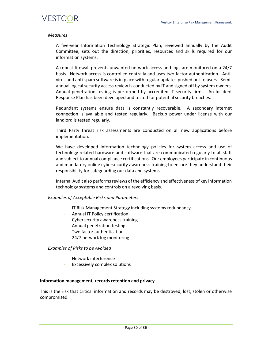#### *Measures*

A five-year Information Technology Strategic Plan, reviewed annually by the Audit Committee, sets out the direction, priorities, resources and skills required for our information systems.

A robust firewall prevents unwanted network access and logs are monitored on a 24/7 basis. Network access is controlled centrally and uses two factor authentication. Antivirus and anti-spam software is in place with regular updates pushed out to users. Semiannual logical security access review is conducted by IT and signed off by system owners. Annual penetration testing is performed by accredited IT security firms. An Incident Response Plan has been developed and tested for potential security breaches.

Redundant systems ensure data is constantly recoverable. A secondary internet connection is available and tested regularly. Backup power under license with our landlord is tested regularly.

Third Party threat risk assessments are conducted on all new applications before implementation.

We have developed information technology policies for system access and use of technology-related hardware and software that are communicated regularly to all staff and subject to annual compliance certifications. Our employees participate in continuous and mandatory online cybersecurity awareness training to ensure they understand their responsibility for safeguarding our data and systems.

Internal Audit also performs reviews of the efficiency and effectiveness of key information technology systems and controls on a revolving basis.

#### *Examples of Acceptable Risks and Parameters*

- IT Risk Management Strategy including systems redundancy
- Annual IT Policy certification
- Cybersecurity awareness training
- Annual penetration testing
- Two factor authentication
- 24/7 network log monitoring

#### *Examples of Risks to be Avoided*

- Network interference
- Excessively complex solutions

#### <span id="page-29-0"></span>**Information management, records retention and privacy**

This is the risk that critical information and records may be destroyed, lost, stolen or otherwise compromised.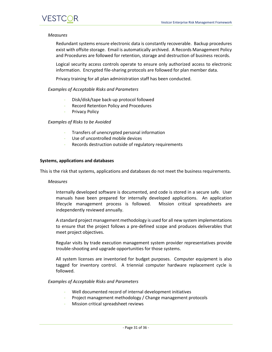#### *Measures*

Redundant systems ensure electronic data is constantly recoverable. Backup procedures exist with offsite storage. Email is automatically archived. A Records Management Policy and Procedures are followed for retention, storage and destruction of business records.

Logical security access controls operate to ensure only authorized access to electronic information. Encrypted file-sharing protocols are followed for plan member data.

Privacy training for all plan administration staff has been conducted.

#### *Examples of Acceptable Risks and Parameters*

- Disk/disk/tape back-up protocol followed
- Record Retention Policy and Procedures
- Privacy Policy

#### *Examples of Risks to be Avoided*

- Transfers of unencrypted personal information
- Use of uncontrolled mobile devices
- Records destruction outside of regulatory requirements

#### <span id="page-30-0"></span>**Systems, applications and databases**

This is the risk that systems, applications and databases do not meet the business requirements.

#### *Measures*

Internally developed software is documented, and code is stored in a secure safe. User manuals have been prepared for internally developed applications. An application lifecycle management process is followed. Mission critical spreadsheets are independently reviewed annually.

A standard project management methodology is used for all new system implementations to ensure that the project follows a pre-defined scope and produces deliverables that meet project objectives.

Regular visits by trade execution management system provider representatives provide trouble-shooting and upgrade opportunities for those systems.

All system licenses are inventoried for budget purposes. Computer equipment is also tagged for inventory control. A triennial computer hardware replacement cycle is followed.

#### *Examples of Acceptable Risks and Parameters*

- Well documented record of internal development initiatives
- Project management methodology / Change management protocols
- Mission critical spreadsheet reviews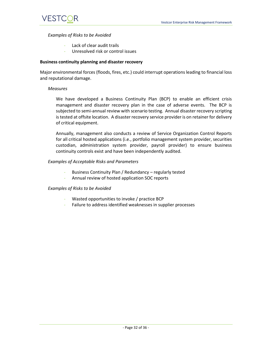#### *Examples of Risks to be Avoided*

- Lack of clear audit trails
- Unresolved risk or control issues

#### <span id="page-31-0"></span>**Business continuity planning and disaster recovery**

Major environmental forces (floods, fires, etc.) could interrupt operations leading to financial loss and reputational damage.

#### *Measures*

We have developed a Business Continuity Plan (BCP) to enable an efficient crisis management and disaster recovery plan in the case of adverse events. The BCP is subjected to semi-annual review with scenario testing. Annual disaster recovery scripting is tested at offsite location. A disaster recovery service provider is on retainer for delivery of critical equipment.

Annually, management also conducts a review of Service Organization Control Reports for all critical hosted applications (i.e., portfolio management system provider, securities custodian, administration system provider, payroll provider) to ensure business continuity controls exist and have been independently audited.

#### *Examples of Acceptable Risks and Parameters*

- Business Continuity Plan / Redundancy regularly tested
- Annual review of hosted application SOC reports

#### *Examples of Risks to be Avoided*

- Wasted opportunities to invoke / practice BCP
- Failure to address identified weaknesses in supplier processes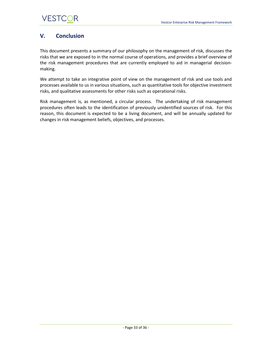## <span id="page-32-0"></span>**V. Conclusion**

This document presents a summary of our philosophy on the management of risk, discusses the risks that we are exposed to in the normal course of operations, and provides a brief overview of the risk management procedures that are currently employed to aid in managerial decisionmaking.

We attempt to take an integrative point of view on the management of risk and use tools and processes available to us in various situations, such as quantitative tools for objective investment risks, and qualitative assessments for other risks such as operational risks.

Risk management is, as mentioned, a circular process. The undertaking of risk management procedures often leads to the identification of previously unidentified sources of risk. For this reason, this document is expected to be a living document, and will be annually updated for changes in risk management beliefs, objectives, and processes.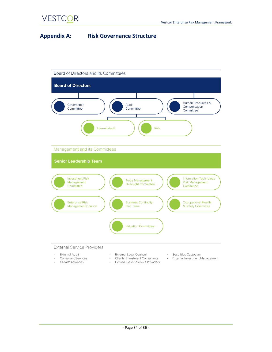**VESTCOR** 

## <span id="page-33-0"></span>**Appendix A: Risk Governance Structure**

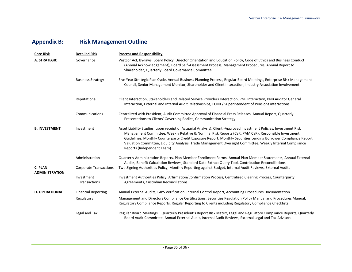## **Appendix B: Risk Management Outline**

<span id="page-34-0"></span>

| <b>Core Risk</b>                 | <b>Detailed Risk</b>          | <b>Process and Responsibility</b>                                                                                                                                                                                                                                                                                                                                                                                                                                                        |
|----------------------------------|-------------------------------|------------------------------------------------------------------------------------------------------------------------------------------------------------------------------------------------------------------------------------------------------------------------------------------------------------------------------------------------------------------------------------------------------------------------------------------------------------------------------------------|
| <b>A. STRATEGIC</b>              | Governance                    | Vestcor Act, By-laws, Board Policy, Director Orientation and Education Policy, Code of Ethics and Business Conduct<br>(Annual Acknowledgement), Board Self-Assessment Process, Management Procedures, Annual Report to<br>Shareholder, Quarterly Board Governance Committee                                                                                                                                                                                                              |
|                                  | <b>Business Strategy</b>      | Five Year Strategic Plan Cycle, Annual Business Planning Process, Regular Board Meetings, Enterprise Risk Management<br>Council, Senior Management Monitor, Shareholder and Client Interaction, Industry Association Involvement                                                                                                                                                                                                                                                         |
|                                  | Reputational                  | Client Interaction, Stakeholders and Related Service Providers Interaction, PNB Interaction, PNB Auditor General<br>Interaction, External and Internal Audit Relationships, FCNB / Superintendent of Pensions interactions.                                                                                                                                                                                                                                                              |
|                                  | Communications                | Centralized with President, Audit Committee Approval of Financial Press Releases, Annual Report, Quarterly<br>Presentations to Clients' Governing Bodies, Communication Strategy.                                                                                                                                                                                                                                                                                                        |
| <b>B. INVESTMENT</b>             | Investment                    | Asset Liability Studies (upon receipt of Actuarial Analysis), Client -Approved Investment Policies, Investment Risk<br>Management Committee, Weekly Relative & Nominal Risk Reports (CaR, PAM CaR), Responsible Investment<br>Guidelines, Monthly Counterparty Credit Exposure Report, Monthly Securities Lending Borrower Compliance Report,<br>Valuation Committee, Liquidity Analysis, Trade Management Oversight Committee, Weekly Internal Compliance<br>Reports (Independent Team) |
|                                  | Administration                | Quarterly Administration Reports, Plan Member Enrollment Forms, Annual Plan Member Statements, Annual External<br>Audits, Benefit Calculation Reviews, Standard Data Extract Query Tool, Contribution Reconciliations                                                                                                                                                                                                                                                                    |
| C. PLAN<br><b>ADMINISTRATION</b> | <b>Corporate Transactions</b> | Two Signing Authorities Policy, Monthly Reporting against Budget, Internal Audit Reviews, External Audits                                                                                                                                                                                                                                                                                                                                                                                |
|                                  | Investment<br>Transactions    | Investment Authorities Policy, Affirmation/Confirmation Process, Centralized Clearing Process, Counterparty<br>Agreements, Custodian Reconciliations                                                                                                                                                                                                                                                                                                                                     |
| <b>D. OPERATIONAL</b>            | <b>Financial Reporting</b>    | Annual External Audits, GIPS Verification, Internal Control Report, Accounting Procedures Documentation                                                                                                                                                                                                                                                                                                                                                                                  |
|                                  | Regulatory                    | Management and Directors Compliance Certifications, Securities Regulation Policy Manual and Procedures Manual,<br>Regulatory Compliance Reports, Regular Reporting to Clients including Regulatory Compliance Checklists                                                                                                                                                                                                                                                                 |
|                                  | Legal and Tax                 | Regular Board Meetings – Quarterly President's Report Risk Matrix, Legal and Regulatory Compliance Reports, Quarterly<br>Board Audit Committee, Annual External Audit, Internal Audit Reviews, External Legal and Tax Advisors                                                                                                                                                                                                                                                           |